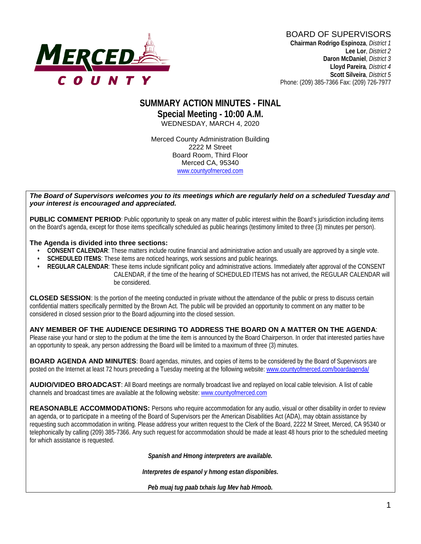

## **SUMMARY ACTION MINUTES - FINAL Special Meeting - 10:00 A.M.** WEDNESDAY, MARCH 4, 2020

Merced County Administration Building 2222 M Street Board Room, Third Floor Merced CA, 95340 www.countyofmerced.com

#### *The Board of Supervisors welcomes you to its meetings which are regularly held on a scheduled Tuesday and your interest is encouraged and appreciated.*

**PUBLIC COMMENT PERIOD**: Public opportunity to speak on any matter of public interest within the Board's jurisdiction including items on the Board's agenda, except for those items specifically scheduled as public hearings (testimony limited to three (3) minutes per person).

#### **The Agenda is divided into three sections:**

- **CONSENT CALENDAR**: These matters include routine financial and administrative action and usually are approved by a single vote.
- **SCHEDULED ITEMS:** These items are noticed hearings, work sessions and public hearings.
- **REGULAR CALENDAR**: These items include significant policy and administrative actions. Immediately after approval of the CONSENT CALENDAR, if the time of the hearing of SCHEDULED ITEMS has not arrived, the REGULAR CALENDAR will be considered.

**CLOSED SESSION**: Is the portion of the meeting conducted in private without the attendance of the public or press to discuss certain confidential matters specifically permitted by the Brown Act. The public will be provided an opportunity to comment on any matter to be considered in closed session prior to the Board adjourning into the closed session.

#### **ANY MEMBER OF THE AUDIENCE DESIRING TO ADDRESS THE BOARD ON A MATTER ON THE AGENDA**:

Please raise your hand or step to the podium at the time the item is announced by the Board Chairperson. In order that interested parties have an opportunity to speak, any person addressing the Board will be limited to a maximum of three (3) minutes.

**BOARD AGENDA AND MINUTES:** Board agendas, minutes, and copies of items to be considered by the Board of Supervisors are posted on the Internet at least 72 hours preceding a Tuesday meeting at the following website: [www.countyofmerced.com/boardagenda/](http://www.countyofmerced.com/boardagenda/) 

**AUDIO/VIDEO BROADCAST**: All Board meetings are normally broadcast live and replayed on local cable television. A list of cable channels and broadcast times are available at the following website[: www.countyofmerced.com](http://www.countyofmerced.com/)

**REASONABLE ACCOMMODATIONS:** Persons who require accommodation for any audio, visual or other disability in order to review an agenda, or to participate in a meeting of the Board of Supervisors per the American Disabilities Act (ADA), may obtain assistance by requesting such accommodation in writing. Please address your written request to the Clerk of the Board, 2222 M Street, Merced, CA 95340 or telephonically by calling (209) 385-7366. Any such request for accommodation should be made at least 48 hours prior to the scheduled meeting for which assistance is requested.

*Spanish and Hmong interpreters are available.*

*Interpretes de espanol y hmong estan disponibles.*

*Peb muaj tug paab txhais lug Mev hab Hmoob.*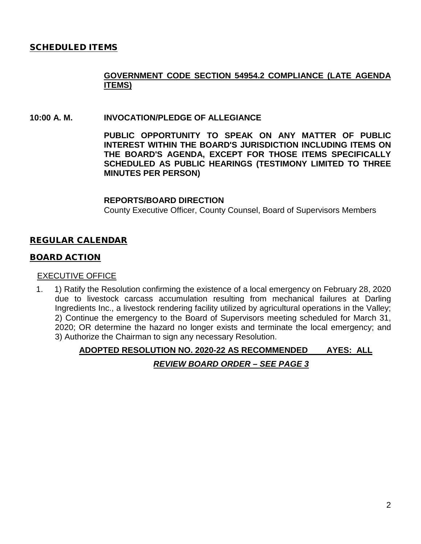## SCHEDULED ITEMS

## **GOVERNMENT CODE SECTION 54954.2 COMPLIANCE (LATE AGENDA ITEMS)**

#### **10:00 A. M. INVOCATION/PLEDGE OF ALLEGIANCE**

**PUBLIC OPPORTUNITY TO SPEAK ON ANY MATTER OF PUBLIC INTEREST WITHIN THE BOARD'S JURISDICTION INCLUDING ITEMS ON THE BOARD'S AGENDA, EXCEPT FOR THOSE ITEMS SPECIFICALLY SCHEDULED AS PUBLIC HEARINGS (TESTIMONY LIMITED TO THREE MINUTES PER PERSON)**

#### **REPORTS/BOARD DIRECTION**

County Executive Officer, County Counsel, Board of Supervisors Members

### REGULAR CALENDAR

### BOARD ACTION

#### EXECUTIVE OFFICE

1. 1) Ratify the Resolution confirming the existence of a local emergency on February 28, 2020 due to livestock carcass accumulation resulting from mechanical failures at Darling Ingredients Inc., a livestock rendering facility utilized by agricultural operations in the Valley; 2) Continue the emergency to the Board of Supervisors meeting scheduled for March 31, 2020; OR determine the hazard no longer exists and terminate the local emergency; and 3) Authorize the Chairman to sign any necessary Resolution.

# **ADOPTED RESOLUTION NO. 2020-22 AS RECOMMENDED AYES: ALL** *REVIEW BOARD ORDER – SEE PAGE 3*